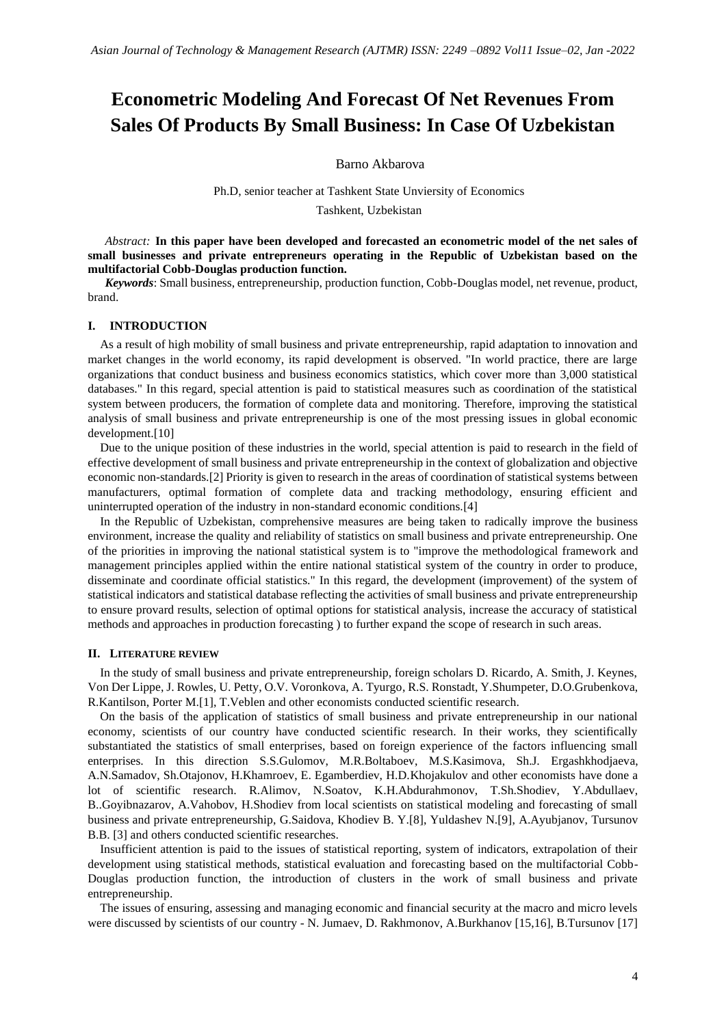# **Econometric Modeling And Forecast Of Net Revenues From Sales Of Products By Small Business: In Case Of Uzbekistan**

Barno Akbarova

Ph.D, senior teacher at Tashkent State Unviersity of Economics

Tashkent, Uzbekistan

*Abstract:* **In this paper have been developed and forecasted an econometric model of the net sales of small businesses and private entrepreneurs operating in the Republic of Uzbekistan based on the multifactorial Cobb-Douglas production function.**

*Keywords*: Small business, entrepreneurship, production function, Cobb-Douglas model, net revenue, product, brand.

## **I. INTRODUCTION**

As a result of high mobility of small business and private entrepreneurship, rapid adaptation to innovation and market changes in the world economy, its rapid development is observed. "In world practice, there are large organizations that conduct business and business economics statistics, which cover more than 3,000 statistical databases." In this regard, special attention is paid to statistical measures such as coordination of the statistical system between producers, the formation of complete data and monitoring. Therefore, improving the statistical analysis of small business and private entrepreneurship is one of the most pressing issues in global economic development.[10]

Due to the unique position of these industries in the world, special attention is paid to research in the field of effective development of small business and private entrepreneurship in the context of globalization and objective economic non-standards.[2] Priority is given to research in the areas of coordination of statistical systems between manufacturers, optimal formation of complete data and tracking methodology, ensuring efficient and uninterrupted operation of the industry in non-standard economic conditions.[4]

In the Republic of Uzbekistan, comprehensive measures are being taken to radically improve the business environment, increase the quality and reliability of statistics on small business and private entrepreneurship. One of the priorities in improving the national statistical system is to "improve the methodological framework and management principles applied within the entire national statistical system of the country in order to produce, disseminate and coordinate official statistics." In this regard, the development (improvement) of the system of statistical indicators and statistical database reflecting the activities of small business and private entrepreneurship to ensure provard results, selection of optimal options for statistical analysis, increase the accuracy of statistical methods and approaches in production forecasting ) to further expand the scope of research in such areas.

#### **II. LITERATURE REVIEW**

In the study of small business and private entrepreneurship, foreign scholars D. Ricardo, A. Smith, J. Keynes, Von Der Lippe, J. Rowles, U. Petty, O.V. Voronkova, A. Tyurgo, R.S. Ronstadt, Y.Shumpeter, D.O.Grubenkova, R.Kantilson, Porter M.[1], T.Veblen and other economists conducted scientific research.

On the basis of the application of statistics of small business and private entrepreneurship in our national economy, scientists of our country have conducted scientific research. In their works, they scientifically substantiated the statistics of small enterprises, based on foreign experience of the factors influencing small enterprises. In this direction S.S.Gulomov, M.R.Boltaboev, M.S.Kasimova, Sh.J. Ergashkhodjaeva, A.N.Samadov, Sh.Otajonov, H.Khamroev, E. Egamberdiev, H.D.Khojakulov and other economists have done a lot of scientific research. R.Alimov, N.Soatov, K.H.Abdurahmonov, T.Sh.Shodiev, Y.Abdullaev, B..Goyibnazarov, A.Vahobov, H.Shodiev from local scientists on statistical modeling and forecasting of small business and private entrepreneurship, G.Saidova, Khodiev B. Y.[8], Yuldashev N.[9], A.Ayubjanov, Tursunov B.B. [3] and others conducted scientific researches.

Insufficient attention is paid to the issues of statistical reporting, system of indicators, extrapolation of their development using statistical methods, statistical evaluation and forecasting based on the multifactorial Cobb-Douglas production function, the introduction of clusters in the work of small business and private entrepreneurship.

The issues of ensuring, assessing and managing economic and financial security at the macro and micro levels were discussed by scientists of our country - N. Jumaev, D. Rakhmonov, A.Burkhanov [15,16], B.Tursunov [17]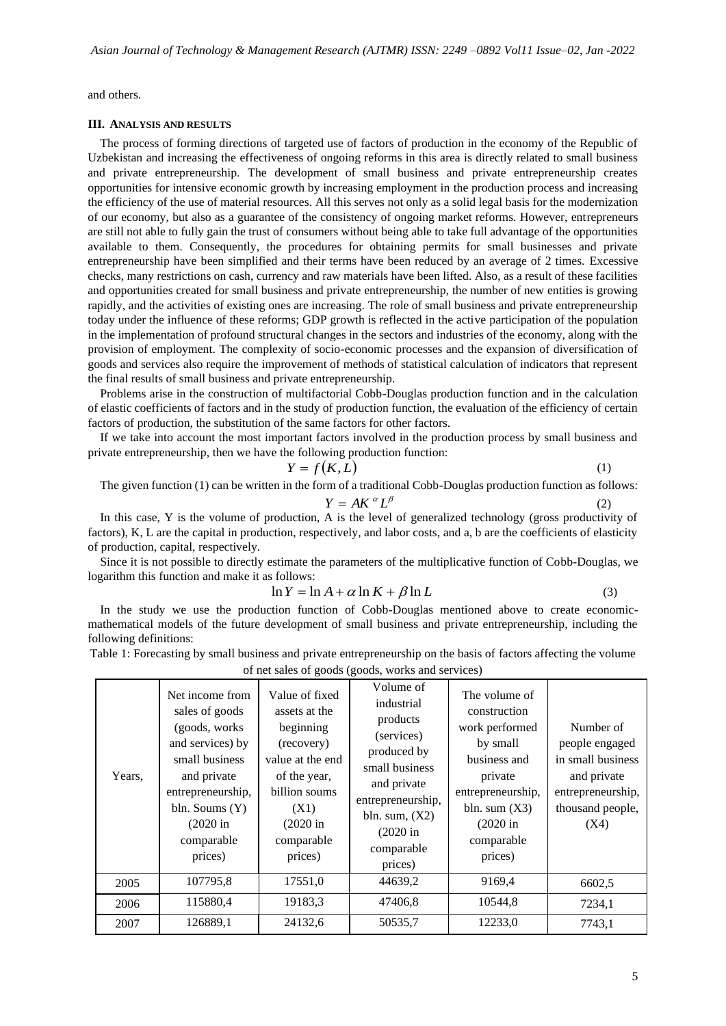and others.

### **III. ANALYSIS AND RESULTS**

The process of forming directions of targeted use of factors of production in the economy of the Republic of Uzbekistan and increasing the effectiveness of ongoing reforms in this area is directly related to small business and private entrepreneurship. The development of small business and private entrepreneurship creates opportunities for intensive economic growth by increasing employment in the production process and increasing the efficiency of the use of material resources. All this serves not only as a solid legal basis for the modernization of our economy, but also as a guarantee of the consistency of ongoing market reforms. However, entrepreneurs are still not able to fully gain the trust of consumers without being able to take full advantage of the opportunities available to them. Consequently, the procedures for obtaining permits for small businesses and private entrepreneurship have been simplified and their terms have been reduced by an average of 2 times. Excessive checks, many restrictions on cash, currency and raw materials have been lifted. Also, as a result of these facilities and opportunities created for small business and private entrepreneurship, the number of new entities is growing rapidly, and the activities of existing ones are increasing. The role of small business and private entrepreneurship today under the influence of these reforms; GDP growth is reflected in the active participation of the population in the implementation of profound structural changes in the sectors and industries of the economy, along with the provision of employment. The complexity of socio-economic processes and the expansion of diversification of goods and services also require the improvement of methods of statistical calculation of indicators that represent the final results of small business and private entrepreneurship.

Problems arise in the construction of multifactorial Cobb-Douglas production function and in the calculation of elastic coefficients of factors and in the study of production function, the evaluation of the efficiency of certain factors of production, the substitution of the same factors for other factors.

If we take into account the most important factors involved in the production process by small business and private entrepreneurship, then we have the following production function:

 $Y = f(K, L)$ 

$$
(1)
$$

The given function (1) can be written in the form of a traditional Cobb-Douglas production function as follows:

$$
Y = AK^{\alpha}L^{\beta}
$$
 (2)

In this case, Y is the volume of production, A is the level of generalized technology (gross productivity of factors), K, L are the capital in production, respectively, and labor costs, and a, b are the coefficients of elasticity of production, capital, respectively.

Since it is not possible to directly estimate the parameters of the multiplicative function of Cobb-Douglas, we logarithm this function and make it as follows:

$$
\ln Y = \ln A + \alpha \ln K + \beta \ln L \tag{3}
$$

In the study we use the production function of Cobb-Douglas mentioned above to create economicmathematical models of the future development of small business and private entrepreneurship, including the following definitions:

Table 1: Forecasting by small business and private entrepreneurship on the basis of factors affecting the volume

| Years, | Net income from<br>sales of goods<br>(goods, works)<br>and services) by<br>small business<br>and private<br>entrepreneurship,<br>bln. Soums (Y)<br>$(2020)$ in<br>comparable<br>prices) | Value of fixed<br>assets at the<br>beginning<br>(recovery)<br>value at the end<br>of the year,<br>billion soums<br>(X1)<br>$(2020$ in<br>comparable<br>prices) | Volume of<br>industrial<br>products<br>(services)<br>produced by<br>small business<br>and private<br>entrepreneurship,<br>bln. sum, $(X2)$<br>$(2020)$ in<br>comparable<br>prices) | The volume of<br>construction<br>work performed<br>by small<br>business and<br>private<br>entrepreneurship,<br>bln. sum $(X3)$<br>$(2020)$ in<br>comparable<br>prices) | Number of<br>people engaged<br>in small business<br>and private<br>entrepreneurship,<br>thousand people,<br>(X4) |
|--------|-----------------------------------------------------------------------------------------------------------------------------------------------------------------------------------------|----------------------------------------------------------------------------------------------------------------------------------------------------------------|------------------------------------------------------------------------------------------------------------------------------------------------------------------------------------|------------------------------------------------------------------------------------------------------------------------------------------------------------------------|------------------------------------------------------------------------------------------------------------------|
| 2005   | 107795,8                                                                                                                                                                                | 17551,0                                                                                                                                                        | 44639,2                                                                                                                                                                            | 9169,4                                                                                                                                                                 | 6602,5                                                                                                           |
| 2006   | 115880,4                                                                                                                                                                                | 19183,3                                                                                                                                                        | 47406,8                                                                                                                                                                            | 10544,8                                                                                                                                                                | 7234,1                                                                                                           |
| 2007   | 126889,1                                                                                                                                                                                | 24132,6                                                                                                                                                        | 50535,7                                                                                                                                                                            | 12233,0                                                                                                                                                                | 7743,1                                                                                                           |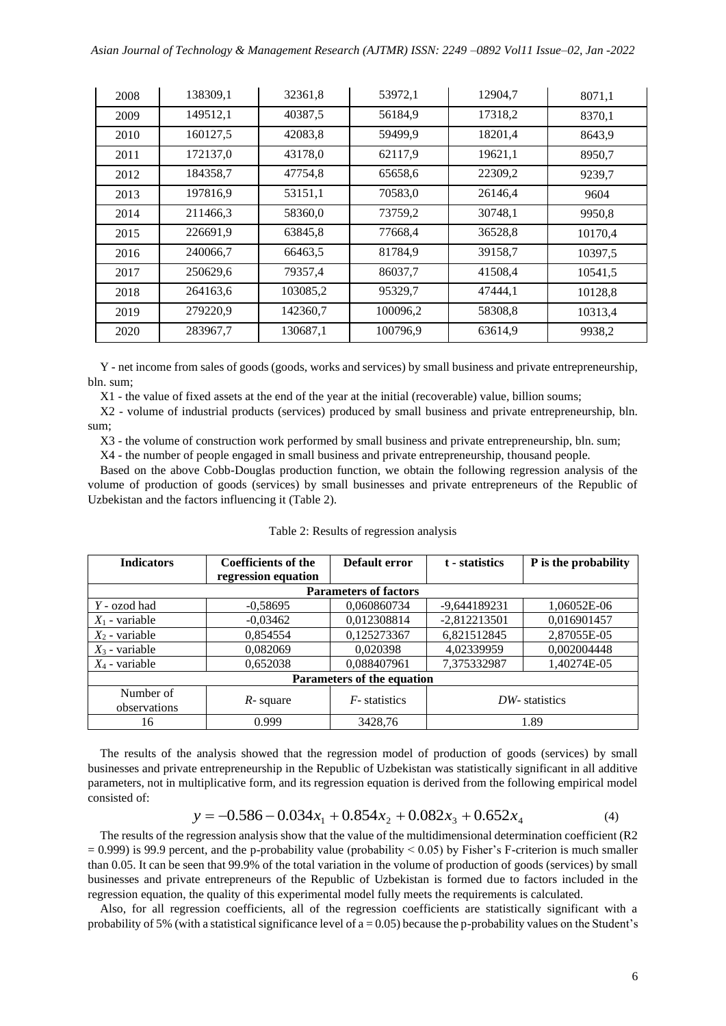| 2008 | 138309,1 | 32361,8  | 53972,1  | 12904,7 | 8071,1  |
|------|----------|----------|----------|---------|---------|
| 2009 | 149512,1 | 40387,5  | 56184,9  | 17318,2 | 8370,1  |
| 2010 | 160127,5 | 42083,8  | 59499,9  | 18201,4 | 8643,9  |
| 2011 | 172137,0 | 43178.0  | 62117.9  | 19621,1 | 8950,7  |
| 2012 | 184358,7 | 47754,8  | 65658,6  | 22309,2 | 9239,7  |
| 2013 | 197816.9 | 53151,1  | 70583,0  | 26146,4 | 9604    |
| 2014 | 211466,3 | 58360,0  | 73759,2  | 30748,1 | 9950,8  |
| 2015 | 226691,9 | 63845,8  | 77668,4  | 36528,8 | 10170,4 |
| 2016 | 240066,7 | 66463,5  | 81784,9  | 39158,7 | 10397,5 |
| 2017 | 250629,6 | 79357,4  | 86037,7  | 41508,4 | 10541,5 |
| 2018 | 264163.6 | 103085,2 | 95329,7  | 47444,1 | 10128,8 |
| 2019 | 279220,9 | 142360,7 | 100096.2 | 58308,8 | 10313,4 |
| 2020 | 283967,7 | 130687,1 | 100796,9 | 63614,9 | 9938,2  |

Y - net income from sales of goods (goods, works and services) by small business and private entrepreneurship, bln. sum;

X1 - the value of fixed assets at the end of the year at the initial (recoverable) value, billion soums;

X2 - volume of industrial products (services) produced by small business and private entrepreneurship, bln. sum;

X3 - the volume of construction work performed by small business and private entrepreneurship, bln. sum;

X4 - the number of people engaged in small business and private entrepreneurship, thousand people.

Based on the above Cobb-Douglas production function, we obtain the following regression analysis of the volume of production of goods (services) by small businesses and private entrepreneurs of the Republic of Uzbekistan and the factors influencing it (Table 2).

| <b>Indicators</b>            | <b>Coefficients of the</b><br>regression equation | Default error<br>t - statistics |                | P is the probability |  |  |
|------------------------------|---------------------------------------------------|---------------------------------|----------------|----------------------|--|--|
| <b>Parameters of factors</b> |                                                   |                                 |                |                      |  |  |
| $Y$ - ozod had               | $-0.58695$                                        | 0.060860734                     | -9,644189231   | 1.06052E-06          |  |  |
| $X_1$ - variable             | $-0,03462$                                        | 0,012308814                     | $-2,812213501$ | 0,016901457          |  |  |
| $X_2$ - variable             | 0,854554                                          | 0,125273367                     | 6,821512845    | 2,87055E-05          |  |  |
| $X_3$ - variable             | 0,082069                                          | 0,020398                        | 4,02339959     | 0,002004448          |  |  |
| $X_4$ - variable             | 0,652038                                          | 0,088407961                     | 7,375332987    | 1,40274E-05          |  |  |
| Parameters of the equation   |                                                   |                                 |                |                      |  |  |
| Number of<br>observations    | $R$ - square                                      | $F$ -statistics                 | DW-statistics  |                      |  |  |
| 16                           | 0.999                                             | 3428,76                         | 1.89           |                      |  |  |

|  | Table 2: Results of regression analysis |  |
|--|-----------------------------------------|--|
|  |                                         |  |
|  |                                         |  |

The results of the analysis showed that the regression model of production of goods (services) by small businesses and private entrepreneurship in the Republic of Uzbekistan was statistically significant in all additive parameters, not in multiplicative form, and its regression equation is derived from the following empirical model consisted of:

$$
y = -0.586 - 0.034x_1 + 0.854x_2 + 0.082x_3 + 0.652x_4
$$
 (4)

The results of the regression analysis show that the value of the multidimensional determination coefficient (R2  $= 0.999$ ) is 99.9 percent, and the p-probability value (probability  $< 0.05$ ) by Fisher's F-criterion is much smaller than 0.05. It can be seen that 99.9% of the total variation in the volume of production of goods (services) by small businesses and private entrepreneurs of the Republic of Uzbekistan is formed due to factors included in the regression equation, the quality of this experimental model fully meets the requirements is calculated.

Also, for all regression coefficients, all of the regression coefficients are statistically significant with a probability of 5% (with a statistical significance level of  $a = 0.05$ ) because the p-probability values on the Student's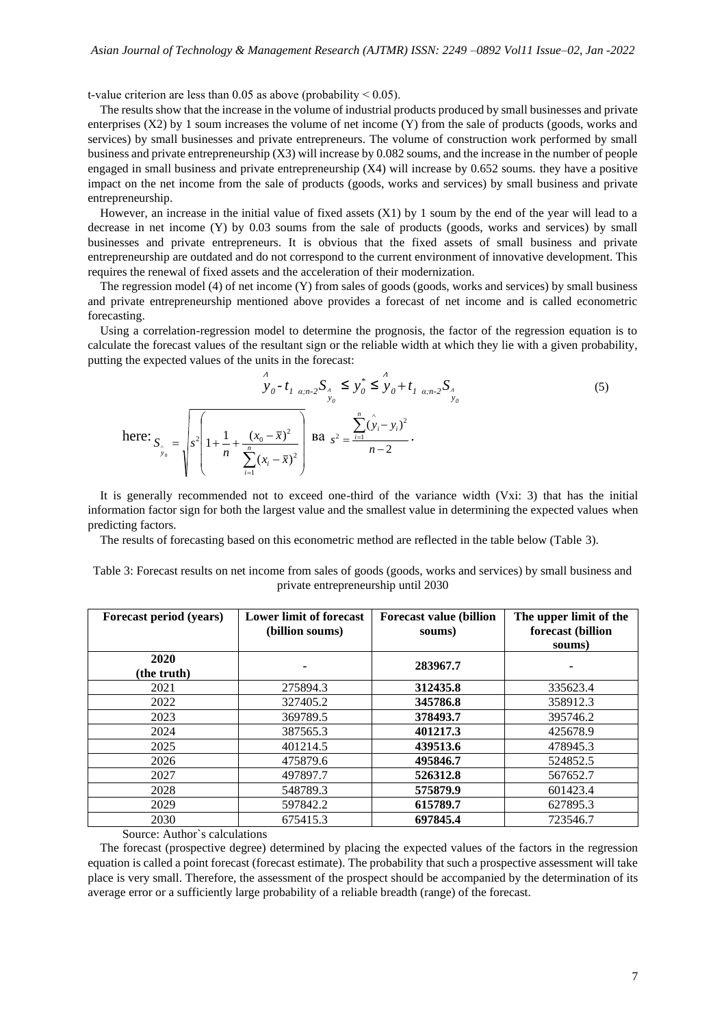t-value criterion are less than  $0.05$  as above (probability  $< 0.05$ ).

The results show that the increase in the volume of industrial products produced by small businesses and private enterprises (X2) by 1 soum increases the volume of net income (Y) from the sale of products (goods, works and services) by small businesses and private entrepreneurs. The volume of construction work performed by small business and private entrepreneurship (X3) will increase by 0.082 soums, and the increase in the number of people engaged in small business and private entrepreneurship (X4) will increase by 0.652 soums. they have a positive impact on the net income from the sale of products (goods, works and services) by small business and private entrepreneurship.

However, an increase in the initial value of fixed assets (X1) by 1 soum by the end of the year will lead to a decrease in net income (Y) by 0.03 soums from the sale of products (goods, works and services) by small businesses and private entrepreneurs. It is obvious that the fixed assets of small business and private entrepreneurship are outdated and do not correspond to the current environment of innovative development. This requires the renewal of fixed assets and the acceleration of their modernization.

The regression model (4) of net income (Y) from sales of goods (goods, works and services) by small business and private entrepreneurship mentioned above provides a forecast of net income and is called econometric forecasting.

Using a correlation-regression model to determine the prognosis, the factor of the regression equation is to calculate the forecast values of the resultant sign or the reliable width at which they lie with a given probability, putting the expected values of the units in the forecast:

$$
\int_{y_0 - t_1}^{A} y_0 - t_1 \sin 2S_x \leq y_0^* \leq y_0 + t_1 \sin 2S_x
$$
\nhere: 
$$
S_{\hat{y}_0} = \sqrt{s^2 \left(1 + \frac{1}{n} + \frac{(x_0 - \bar{x})^2}{\sum_{i=1}^{n} (x_i - \bar{x})^2}\right)} \text{ Ba } s^2 = \frac{\sum_{i=1}^{n} (\hat{y}_i - y_i)^2}{n - 2}.
$$
\n(5)

It is generally recommended not to exceed one-third of the variance width (Vxi: 3) that has the initial information factor sign for both the largest value and the smallest value in determining the expected values when predicting factors.

The results of forecasting based on this econometric method are reflected in the table below (Table 3).

| Forecast period (years) | <b>Lower limit of forecast</b><br>(billion soums) | <b>Forecast value (billion</b><br>soums) | The upper limit of the<br>forecast (billion<br>soums) |
|-------------------------|---------------------------------------------------|------------------------------------------|-------------------------------------------------------|
| 2020<br>(the truth)     |                                                   | 283967.7                                 |                                                       |
| 2021                    | 275894.3                                          | 312435.8                                 | 335623.4                                              |
| 2022                    | 327405.2                                          | 345786.8                                 | 358912.3                                              |
| 2023                    | 369789.5                                          | 378493.7                                 | 395746.2                                              |
| 2024                    | 387565.3                                          | 401217.3                                 | 425678.9                                              |
| 2025                    | 401214.5                                          | 439513.6                                 | 478945.3                                              |
| 2026                    | 475879.6                                          | 495846.7                                 | 524852.5                                              |
| 2027                    | 497897.7                                          | 526312.8                                 | 567652.7                                              |
| 2028                    | 548789.3                                          | 575879.9                                 | 601423.4                                              |
| 2029                    | 597842.2                                          | 615789.7                                 | 627895.3                                              |
| 2030                    | 675415.3                                          | 697845.4                                 | 723546.7                                              |

Table 3: Forecast results on net income from sales of goods (goods, works and services) by small business and private entrepreneurship until 2030

Source: Author`s calculations

The forecast (prospective degree) determined by placing the expected values of the factors in the regression equation is called a point forecast (forecast estimate). The probability that such a prospective assessment will take place is very small. Therefore, the assessment of the prospect should be accompanied by the determination of its average error or a sufficiently large probability of a reliable breadth (range) of the forecast.